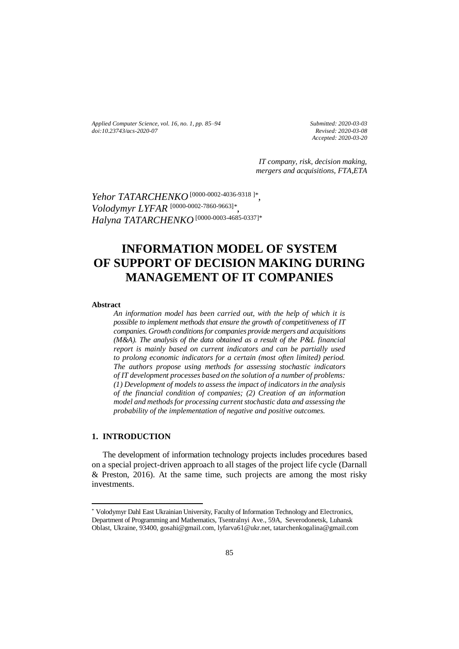*Applied Computer Science, vol. 16, no. 1, pp. 85–94 doi[:10.23743/acs-2020-07](http://acs.pollub.pl/pdf/v16n1/7.pdf)*

*Submitted: 2020-03-03 Revised: 2020-03-08 Accepted: 2020-03-20*

*IT company, risk, decision making, mergers and acquisitions, FTA,ETA*

*Yehor TATARCHENKO* [\[0000-0002-4036-9318](https://orcid.org/0000-0002-4036-9318) ]*\** , *Volodymyr LYFAR* [0000-0002-7860-9663]*\** .<br>, *Halyna TATARCHENKO* [\[0000-0003-4685-0337\]](https://orcid.org/0000-0002-4036-9318)\*

# **INFORMATION MODEL OF SYSTEM OF SUPPORT OF DECISION MAKING DURING MANAGEMENT OF IT COMPANIES**

#### **Abstract**

*An information model has been carried out, with the help of which it is possible to implement methods that ensure the growth of competitiveness of IT companies. Growth conditions for companies provide mergers and acquisitions (M&A). The analysis of the data obtained as a result of the P&L financial report is mainly based on current indicators and can be partially used to prolong economic indicators for a certain (most often limited) period. The authors propose using methods for assessing stochastic indicators of IT development processes based on the solution of a number of problems: (1) Development of models to assess the impact of indicators in the analysis of the financial condition of companies; (2) Creation of an information model and methods for processing current stochastic data and assessing the probability of the implementation of negative and positive outcomes.*

## **1. INTRODUCTION**

 $\overline{a}$ 

The development of information technology projects includes procedures based on a special project-driven approach to all stages of the project life cycle (Darnall & Preston, 2016). At the same time, such projects are among the most risky investments.

<sup>\*</sup> Volodymyr Dahl East Ukrainian University, Faculty of Information Technology and Electronics, Department of Programming and Mathematics, Tsentralnyi Ave., 59A, Severodonetsk, Luhansk Oblast, Ukraine, 93400, gosahi@gmail.com, lyfarva61@ukr.net, tatarchenkogalina@gmail.com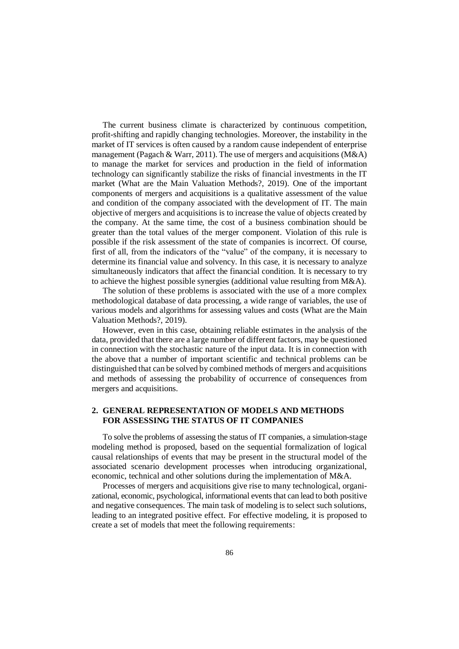The current business climate is characterized by continuous competition, profit-shifting and rapidly changing technologies. Moreover, the instability in the market of IT services is often caused by a random cause independent of enterprise management (Pagach & Warr, 2011). The use of mergers and acquisitions (M&A) to manage the market for services and production in the field of information technology can significantly stabilize the risks of financial investments in the IT market (What are the Main Valuation Methods?, 2019). One of the important components of mergers and acquisitions is a qualitative assessment of the value and condition of the company associated with the development of IT. The main objective of mergers and acquisitions is to increase the value of objects created by the company. At the same time, the cost of a business combination should be greater than the total values of the merger component. Violation of this rule is possible if the risk assessment of the state of companies is incorrect. Of course, first of all, from the indicators of the "value" of the company, it is necessary to determine its financial value and solvency. In this case, it is necessary to analyze simultaneously indicators that affect the financial condition. It is necessary to try to achieve the highest possible synergies (additional value resulting from  $M&A$ ).

The solution of these problems is associated with the use of a more complex methodological database of data processing, a wide range of variables, the use of various models and algorithms for assessing values and costs (What are the Main Valuation Methods?, 2019).

However, even in this case, obtaining reliable estimates in the analysis of the data, provided that there are a large number of different factors, may be questioned in connection with the stochastic nature of the input data. It is in connection with the above that a number of important scientific and technical problems can be distinguished that can be solved by combined methods of mergers and acquisitions and methods of assessing the probability of occurrence of consequences from mergers and acquisitions.

## **2. GENERAL REPRESENTATION OF MODELS AND METHODS FOR ASSESSING THE STATUS OF IT COMPANIES**

To solve the problems of assessing the status of IT companies, a simulation-stage modeling method is proposed, based on the sequential formalization of logical causal relationships of events that may be present in the structural model of the associated scenario development processes when introducing organizational, economic, technical and other solutions during the implementation of M&A.

Processes of mergers and acquisitions give rise to many technological, organizational, economic, psychological, informational events that can lead to both positive and negative consequences. The main task of modeling is to select such solutions, leading to an integrated positive effect. For effective modeling, it is proposed to create a set of models that meet the following requirements: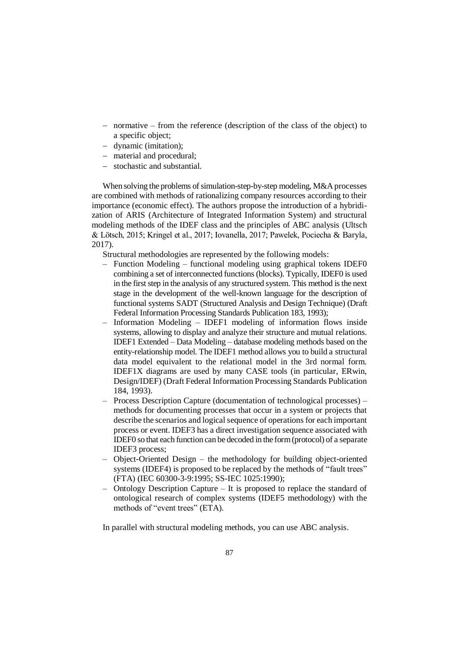- normative from the reference (description of the class of the object) to a specific object;
- dynamic (imitation);
- material and procedural;
- stochastic and substantial.

When solving the problems of simulation-step-by-step modeling, M&A processes are combined with methods of rationalizing company resources according to their importance (economic effect). The authors propose the introduction of a hybridization of ARIS (Architecture of Integrated Information System) and structural modeling methods of the IDEF class and the principles of ABC analysis (Ultsch & Lötsch, 2015; Kringel et al., 2017; Iovanella, 2017; Pawelek, Pociecha & Baryla, 2017).

Structural methodologies are represented by the following models:

- [Function Modeling](https://ru.wikipedia.org/wiki/%D0%91%D0%B8%D0%B7%D0%BD%D0%B5%D1%81-%D0%BF%D1%80%D0%BE%D1%86%D0%B5%D1%81%D1%81) functional modeling using graphical tokens IDEF0 combining a set of interconnected functions (blocks). Typically, IDEF0 is used in the first step in the analysis of any structured system. This method is the next stage in the development of the well-known language for the description of functional systems SADT (Structured Analysis and Design Technique) (Draft Federal Information Processing Standards Publication 183, 1993);
- [Information Modeling](https://ru.wikipedia.org/wiki/DFD) IDEF1 modeling of information flows inside systems, allowing to display and analyze their structure and mutual relations. IDEF1 Extended – Data Modeling – database modeling methods based on the entity-relationship model. The IDEF1 method allows you to build a structural data model equivalent to the relational model in the 3rd normal form. IDEF1X diagrams are used by many CASE tools (in particular, ERwin, Design/IDEF) (Draft Federal Information Processing Standards Publication 184, 1993).
- Process Description Capture (documentation of technological processes) methods for documenting processes that occur in a system or projects that describe the scenarios and logical sequence of operations for each important process or event. IDEF3 has a direct investigation sequence associated with IDEF0 so that each function can be decoded in the form (protocol) of a separate IDEF3 process;
- [Object-Oriented Design](https://ru.wikipedia.org/wiki/%D0%9E%D0%B1%D1%8A%D0%B5%D0%BA%D1%82%D0%BD%D0%BE-%D0%BE%D1%80%D0%B8%D0%B5%D0%BD%D1%82%D0%B8%D1%80%D0%BE%D0%B2%D0%B0%D0%BD%D0%BD%D0%BE%D0%B5_%D0%BF%D1%80%D0%BE%D0%B5%D0%BA%D1%82%D0%B8%D1%80%D0%BE%D0%B2%D0%B0%D0%BD%D0%B8%D0%B5) the methodology for building object-oriented systems (IDEF4) is proposed to be replaced by the methods of "fault trees" (FTA) (IEC 60300-3-9:1995; SS-IEC 1025:1990);
- Ontology Description Capture It is proposed to replace the standard of ontological research of complex systems (IDEF5 methodology) with the methods of "event trees" (ETA).

In parallel with structural modeling methods, you can use ABC analysis.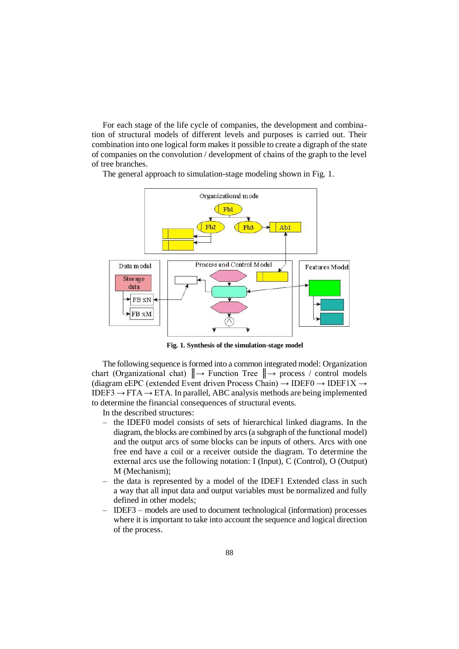For each stage of the life cycle of companies, the development and combination of structural models of different levels and purposes is carried out. Their combination into one logical form makes it possible to create a digraph of the state of companies on the convolution / development of chains of the graph to the level of tree branches.

The general approach to simulation-stage modeling shown in Fig. 1.



**Fig. 1. Synthesis of the simulation-stage model**

The following sequence is formed into a common integrated model: Organization chart (Organizational chat)  $\parallel \rightarrow$  Function Tree  $\parallel \rightarrow$  process / control models (diagram eEPC (extended Event driven Process Chain)  $\rightarrow$  IDEF0  $\rightarrow$  IDEF1X  $\rightarrow$ IDEF3  $\rightarrow$  FTA  $\rightarrow$  ETA. In parallel, ABC analysis methods are being implemented to determine the financial consequences of structural events.

In the described structures:

- the IDEF0 model consists of sets of hierarchical linked diagrams. In the diagram, the blocks are combined by arcs (a subgraph of the functional model) and the output arcs of some blocks can be inputs of others. Arcs with one free end have a coil or a receiver outside the diagram. To determine the external arcs use the following notation: I (Input), C (Control), O (Output) M (Mechanism);
- the data is represented by a model of the IDEF1 Extended class in such a way that all input data and output variables must be normalized and fully defined in other models;
- IDEF3 models are used to document technological (information) processes where it is important to take into account the sequence and logical direction of the process.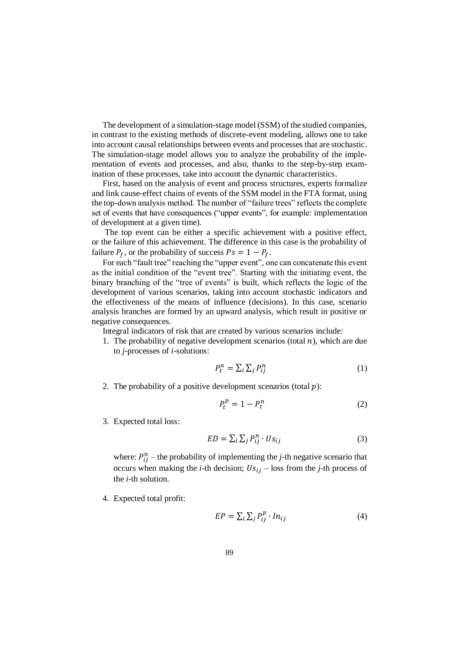The development of a simulation-stage model (SSM) of the studied companies, in contrast to the existing methods of discrete-event modeling, allows one to take into account causal relationships between events and processes that are stochastic. The simulation-stage model allows you to analyze the probability of the implementation of events and processes, and also, thanks to the step-by-step examination of these processes, take into account the dynamic characteristics.

First, based on the analysis of event and process structures, experts formalize and link cause-effect chains of events of the SSM model in the FTA format, using the top-down analysis method. The number of "failure trees" reflects the complete set of events that have consequences ("upper events", for example: implementation of development at a given time).

The top event can be either a specific achievement with a positive effect, or the failure of this achievement. The difference in this case is the probability of failure  $P_f$ , or the probability of success  $Ps = 1 - P_f$ .

For each "fault tree" reaching the "upper event", one can concatenate this event as the initial condition of the "event tree". Starting with the initiating event, the binary branching of the "tree of events" is built, which reflects the logic of the development of various scenarios, taking into account stochastic indicators and the effectiveness of the means of influence (decisions). In this case, scenario analysis branches are formed by an upward analysis, which result in positive or negative consequences.

Integral indicators of risk that are created by various scenarios include:

1. The probability of negative development scenarios (total  $n$ ), which are due to *j*-processes of *i*-solutions:

$$
P_t^n = \sum_i \sum_j P_{ij}^n \tag{1}
$$

2. The probability of a positive development scenarios (total  $p$ ):

$$
P_t^p = 1 - P_t^n \tag{2}
$$

3. Expected total loss:

$$
ED = \sum_{i} \sum_{j} P_{ij}^{n} \cdot Us_{ij}
$$
 (3)

where:  $P_{ij}^n$  – the probability of implementing the *j*-th negative scenario that occurs when making the *i*-th decision;  $Us_{ij}$  – loss from the *j*-th process of the *i*-th solution.

4. Expected total profit:

$$
EP = \sum_{i} \sum_{j} P_{ij}^{p} \cdot In_{ij}
$$
 (4)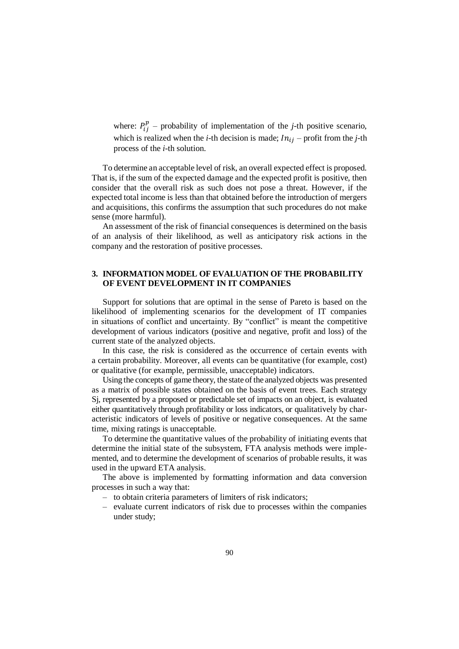where:  $P_{ij}^p$  – probability of implementation of the *j*-th positive scenario, which is realized when the *i*-th decision is made;  $In_{ij}$  – profit from the *j*-th process of the *i*-th solution.

To determine an acceptable level of risk, an overall expected effect is proposed. That is, if the sum of the expected damage and the expected profit is positive, then consider that the overall risk as such does not pose a threat. However, if the expected total income is less than that obtained before the introduction of mergers and acquisitions, this confirms the assumption that such procedures do not make sense (more harmful).

An assessment of the risk of financial consequences is determined on the basis of an analysis of their likelihood, as well as anticipatory risk actions in the company and the restoration of positive processes.

## **3. INFORMATION MODEL OF EVALUATION OF THE PROBABILITY OF EVENT DEVELOPMENT IN IT COMPANIES**

Support for solutions that are optimal in the sense of Pareto is based on the likelihood of implementing scenarios for the development of IT companies in situations of conflict and uncertainty. By "conflict" is meant the competitive development of various indicators (positive and negative, profit and loss) of the current state of the analyzed objects.

In this case, the risk is considered as the occurrence of certain events with a certain probability. Moreover, all events can be quantitative (for example, cost) or qualitative (for example, permissible, unacceptable) indicators.

Using the concepts of game theory, the state of the analyzed objects was presented as a matrix of possible states obtained on the basis of event trees. Each strategy Sj, represented by a proposed or predictable set of impacts on an object, is evaluated either quantitatively through profitability or loss indicators, or qualitatively by characteristic indicators of levels of positive or negative consequences. At the same time, mixing ratings is unacceptable.

To determine the quantitative values of the probability of initiating events that determine the initial state of the subsystem, FTA analysis methods were implemented, and to determine the development of scenarios of probable results, it was used in the upward ETA analysis.

The above is implemented by formatting information and data conversion processes in such a way that:

- to obtain criteria parameters of limiters of risk indicators;
- evaluate current indicators of risk due to processes within the companies under study;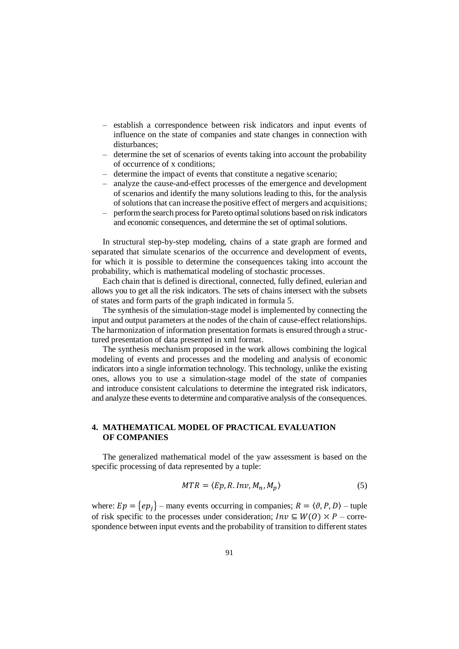- establish a correspondence between risk indicators and input events of influence on the state of companies and state changes in connection with disturbances;
- determine the set of scenarios of events taking into account the probability of occurrence of x conditions;
- determine the impact of events that constitute a negative scenario;
- analyze the cause-and-effect processes of the emergence and development of scenarios and identify the many solutions leading to this, for the analysis of solutions that can increase the positive effect of mergers and acquisitions;
- perform the search process for Pareto optimal solutions based on risk indicators and economic consequences, and determine the set of optimal solutions.

In structural step-by-step modeling, chains of a state graph are formed and separated that simulate scenarios of the occurrence and development of events, for which it is possible to determine the consequences taking into account the probability, which is mathematical modeling of stochastic processes.

Each chain that is defined is directional, connected, fully defined, eulerian and allows you to get all the risk indicators. The sets of chains intersect with the subsets of states and form parts of the graph indicated in formula 5.

The synthesis of the simulation-stage model is implemented by connecting the input and output parameters at the nodes of the chain of cause-effect relationships. The harmonization of information presentation formats is ensured through a structured presentation of data presented in xml format.

The synthesis mechanism proposed in the work allows combining the logical modeling of events and processes and the modeling and analysis of economic indicators into a single information technology. This technology, unlike the existing ones, allows you to use a simulation-stage model of the state of companies and introduce consistent calculations to determine the integrated risk indicators, and analyze these events to determine and comparative analysis of the consequences.

# **4. MATHEMATICAL MODEL OF PRACTICAL EVALUATION OF COMPANIES**

The generalized mathematical model of the yaw assessment is based on the specific processing of data represented by a tuple:

$$
MTR = \langle Ep, R. Inv, M_n, M_p \rangle \tag{5}
$$

where:  $Ep = \{ep_j\}$  – many events occurring in companies;  $R = \langle \vartheta, P, D \rangle$  – tuple of risk specific to the processes under consideration;  $Inv \subseteq W(0) \times P$  – correspondence between input events and the probability of transition to different states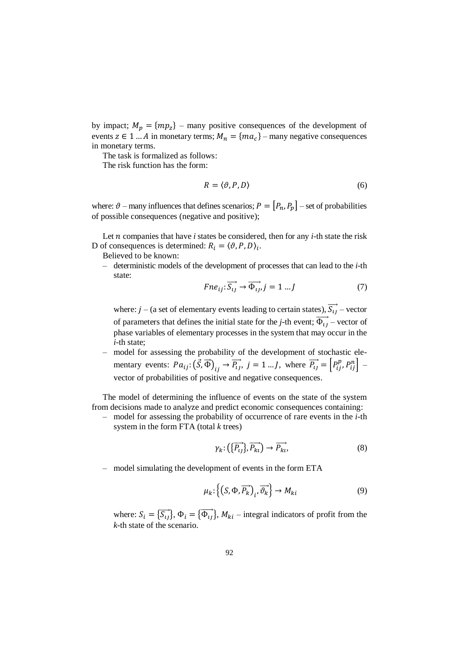by impact;  $M_p = \{mp_2\}$  – many positive consequences of the development of events  $z \in 1 ... A$  in monetary terms;  $M_n = \{ma_c\}$  – many negative consequences in monetary terms.

The task is formalized as follows:

The risk function has the form:

$$
R = \langle \vartheta, P, D \rangle \tag{6}
$$

where:  $\vartheta$  – many influences that defines scenarios;  $P = [P_n, P_n]$  – set of probabilities of possible consequences (negative and positive);

Let  $n$  companies that have  $i$  states be considered, then for any  $i$ -th state the risk D of consequences is determined:  $R_i = \langle \vartheta, P, D \rangle_i$ .

Believed to be known:

– deterministic models of the development of processes that can lead to the *i*-th state:

$$
Fne_{ij}:\overrightarrow{S_{ij}} \to \overrightarrow{\Phi_{ij}}, j = 1...J \tag{7}
$$

where:  $j - (a \text{ set of elementary events leading to certain states}), \overrightarrow{S_{ij}} - \text{vector}$ of parameters that defines the initial state for the *j*-th event;  $\overrightarrow{\Phi_{ij}}$  – vector of phase variables of elementary processes in the system that may occur in the *i*-th state;

– model for assessing the probability of the development of stochastic elementary events:  $Pa_{ij}$ :  $(\vec{S}, \vec{\Phi})_{ij} \rightarrow \vec{P}_{ij}$ ,  $j = 1...J$ , where  $\vec{P}_{ij} = \begin{bmatrix} P_{ij}^p, P_{ij}^n \end{bmatrix}$ vector of probabilities of positive and negative consequences.

The model of determining the influence of events on the state of the system from decisions made to analyze and predict economic consequences containing:

– model for assessing the probability of occurrence of rare events in the *i*-th system in the form FTA (total *k* trees)

$$
\gamma_k: \left(\left\{\overrightarrow{P_{ij}}\right\}, \overrightarrow{P_{ki}}\right) \to \overrightarrow{P_{ki}},\tag{8}
$$

– model simulating the development of events in the form ETA

$$
\mu_k \colon \left\{ \left( S, \Phi, \overrightarrow{P_k} \right)_i, \overrightarrow{\vartheta_k} \right\} \to M_{ki} \tag{9}
$$

where:  $S_i = {\overrightarrow{S_{ij}}}$ ,  $\Phi_i = {\overrightarrow{\Phi_{ij}}}$ ,  $M_{ki}$  – integral indicators of profit from the *k*-th state of the scenario.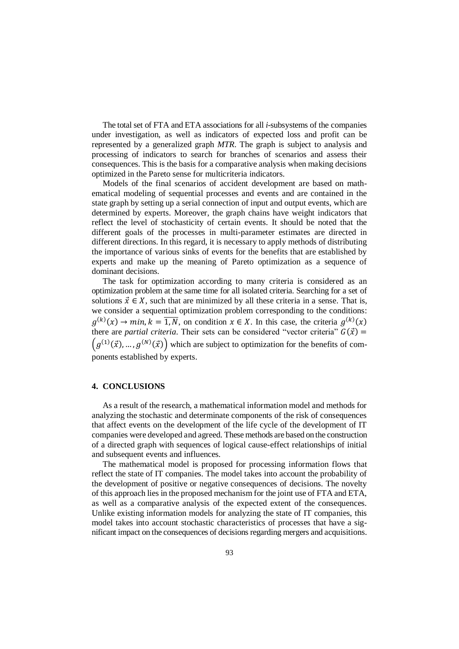The total set of FTA and ETA associations for all *i*-subsystems of the companies under investigation, as well as indicators of expected loss and profit can be represented by a generalized graph *MTR*. The graph is subject to analysis and processing of indicators to search for branches of scenarios and assess their consequences. This is the basis for a comparative analysis when making decisions optimized in the Pareto sense for multicriteria indicators.

Models of the final scenarios of accident development are based on mathematical modeling of sequential processes and events and are contained in the state graph by setting up a serial connection of input and output events, which are determined by experts. Moreover, the graph chains have weight indicators that reflect the level of stochasticity of certain events. It should be noted that the different goals of the processes in multi-parameter estimates are directed in different directions. In this regard, it is necessary to apply methods of distributing the importance of various sinks of events for the benefits that are established by experts and make up the meaning of Pareto optimization as a sequence of dominant decisions.

The task for optimization according to many criteria is considered as an optimization problem at the same time for all isolated criteria. Searching for a set of solutions  $\vec{x} \in X$ , such that are minimized by all these criteria in a sense. That is, we consider a sequential optimization problem corresponding to the conditions:  $g^{(k)}(x) \to min, k = \overline{1, N}$ , on condition  $x \in X$ . In this case, the criteria  $g^{(k)}(x)$ there are *partial criteria*. Their sets can be considered "vector criteria"  $G(\vec{x}) =$  $(g^{(1)}(\vec{x}),...,g^{(N)}(\vec{x}))$  which are subject to optimization for the benefits of components established by experts.

### **4. CONCLUSIONS**

As a result of the research, a mathematical information model and methods for analyzing the stochastic and determinate components of the risk of consequences that affect events on the development of the life cycle of the development of IT companies were developed and agreed. These methods are based on the construction of a directed graph with sequences of logical cause-effect relationships of initial and subsequent events and influences.

The mathematical model is proposed for processing information flows that reflect the state of IT companies. The model takes into account the probability of the development of positive or negative consequences of decisions. The novelty of this approach lies in the proposed mechanism for the joint use of FTA and ETA, as well as a comparative analysis of the expected extent of the consequences. Unlike existing information models for analyzing the state of IT companies, this model takes into account stochastic characteristics of processes that have a significant impact on the consequences of decisions regarding mergers and acquisitions.